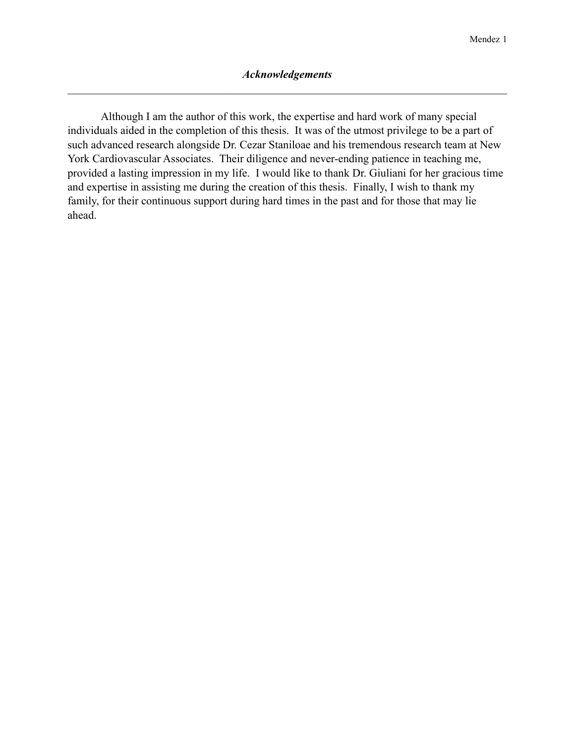Although I am the author of this work, the expertise and hard work of many special individuals aided in the completion of this thesis. It was of the utmost privilege to be a part of such advanced research alongside Dr. Cezar Staniloae and his tremendous research team at New York Cardiovascular Associates. Their diligence and never-ending patience in teaching me, provided a lasting impression in my life. I would like to thank Dr. Giuliani for her gracious time and expertise in assisting me during the creation of this thesis. Finally, I wish to thank my family, for their continuous support during hard times in the past and for those that may lie ahead.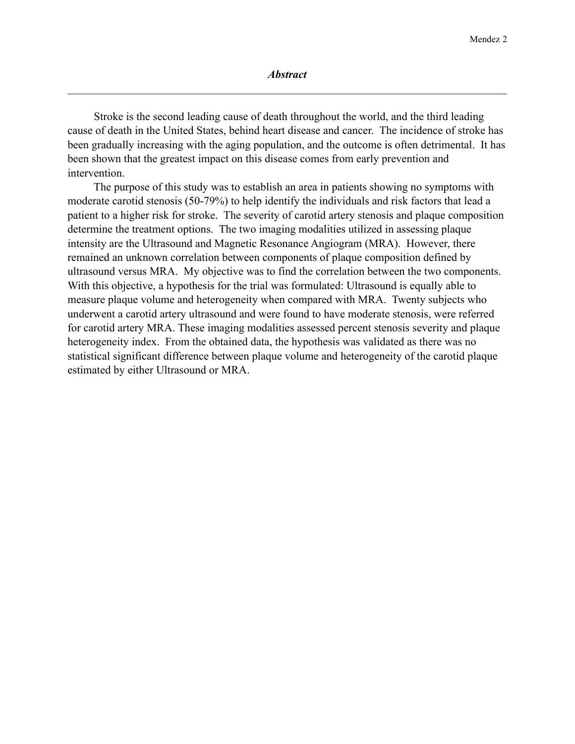Stroke is the second leading cause of death throughout the world, and the third leading cause of death in the United States, behind heart disease and cancer. The incidence of stroke has been gradually increasing with the aging population, and the outcome is often detrimental. It has been shown that the greatest impact on this disease comes from early prevention and intervention.

 The purpose of this study was to establish an area in patients showing no symptoms with moderate carotid stenosis (50-79%) to help identify the individuals and risk factors that lead a patient to a higher risk for stroke. The severity of carotid artery stenosis and plaque composition determine the treatment options. The two imaging modalities utilized in assessing plaque intensity are the Ultrasound and Magnetic Resonance Angiogram (MRA). However, there remained an unknown correlation between components of plaque composition defined by ultrasound versus MRA. My objective was to find the correlation between the two components. With this objective, a hypothesis for the trial was formulated: Ultrasound is equally able to measure plaque volume and heterogeneity when compared with MRA. Twenty subjects who underwent a carotid artery ultrasound and were found to have moderate stenosis, were referred for carotid artery MRA. These imaging modalities assessed percent stenosis severity and plaque heterogeneity index. From the obtained data, the hypothesis was validated as there was no statistical significant difference between plaque volume and heterogeneity of the carotid plaque estimated by either Ultrasound or MRA.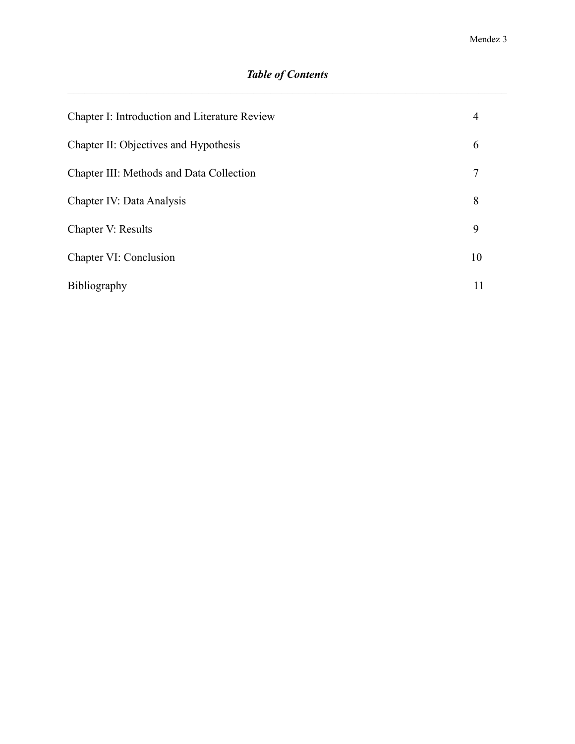# *Table of Contents*

| Chapter I: Introduction and Literature Review | $\overline{4}$ |
|-----------------------------------------------|----------------|
| Chapter II: Objectives and Hypothesis         | 6              |
| Chapter III: Methods and Data Collection      |                |
| Chapter IV: Data Analysis                     | 8              |
| Chapter V: Results                            | 9              |
| Chapter VI: Conclusion                        | 10             |
| Bibliography                                  | 11             |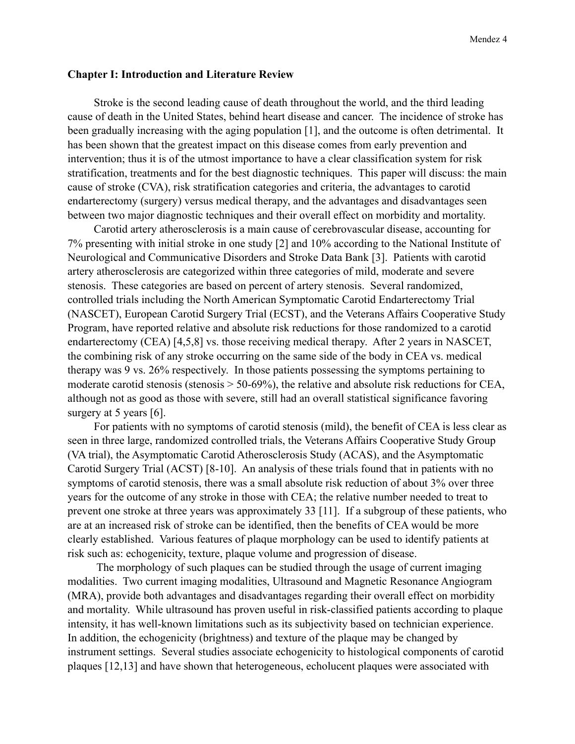#### **Chapter I: Introduction and Literature Review**

 Stroke is the second leading cause of death throughout the world, and the third leading cause of death in the United States, behind heart disease and cancer. The incidence of stroke has been gradually increasing with the aging population [1], and the outcome is often detrimental. It has been shown that the greatest impact on this disease comes from early prevention and intervention; thus it is of the utmost importance to have a clear classification system for risk stratification, treatments and for the best diagnostic techniques. This paper will discuss: the main cause of stroke (CVA), risk stratification categories and criteria, the advantages to carotid endarterectomy (surgery) versus medical therapy, and the advantages and disadvantages seen between two major diagnostic techniques and their overall effect on morbidity and mortality.

 Carotid artery atherosclerosis is a main cause of cerebrovascular disease, accounting for 7% presenting with initial stroke in one study [2] and 10% according to the National Institute of Neurological and Communicative Disorders and Stroke Data Bank [3]. Patients with carotid artery atherosclerosis are categorized within three categories of mild, moderate and severe stenosis. These categories are based on percent of artery stenosis. Several randomized, controlled trials including the North American Symptomatic Carotid Endarterectomy Trial (NASCET), European Carotid Surgery Trial (ECST), and the Veterans Affairs Cooperative Study Program, have reported relative and absolute risk reductions for those randomized to a carotid endarterectomy (CEA) [4,5,8] vs. those receiving medical therapy. After 2 years in NASCET, the combining risk of any stroke occurring on the same side of the body in CEA vs. medical therapy was 9 vs. 26% respectively. In those patients possessing the symptoms pertaining to moderate carotid stenosis (stenosis > 50-69%), the relative and absolute risk reductions for CEA, although not as good as those with severe, still had an overall statistical significance favoring surgery at 5 years [6].

 For patients with no symptoms of carotid stenosis (mild), the benefit of CEA is less clear as seen in three large, randomized controlled trials, the Veterans Affairs Cooperative Study Group (VA trial), the Asymptomatic Carotid Atherosclerosis Study (ACAS), and the Asymptomatic Carotid Surgery Trial (ACST) [8-10]. An analysis of these trials found that in patients with no symptoms of carotid stenosis, there was a small absolute risk reduction of about 3% over three years for the outcome of any stroke in those with CEA; the relative number needed to treat to prevent one stroke at three years was approximately 33 [11]. If a subgroup of these patients, who are at an increased risk of stroke can be identified, then the benefits of CEA would be more clearly established. Various features of plaque morphology can be used to identify patients at risk such as: echogenicity, texture, plaque volume and progression of disease.

 The morphology of such plaques can be studied through the usage of current imaging modalities. Two current imaging modalities, Ultrasound and Magnetic Resonance Angiogram (MRA), provide both advantages and disadvantages regarding their overall effect on morbidity and mortality. While ultrasound has proven useful in risk-classified patients according to plaque intensity, it has well-known limitations such as its subjectivity based on technician experience. In addition, the echogenicity (brightness) and texture of the plaque may be changed by instrument settings. Several studies associate echogenicity to histological components of carotid plaques [12,13] and have shown that heterogeneous, echolucent plaques were associated with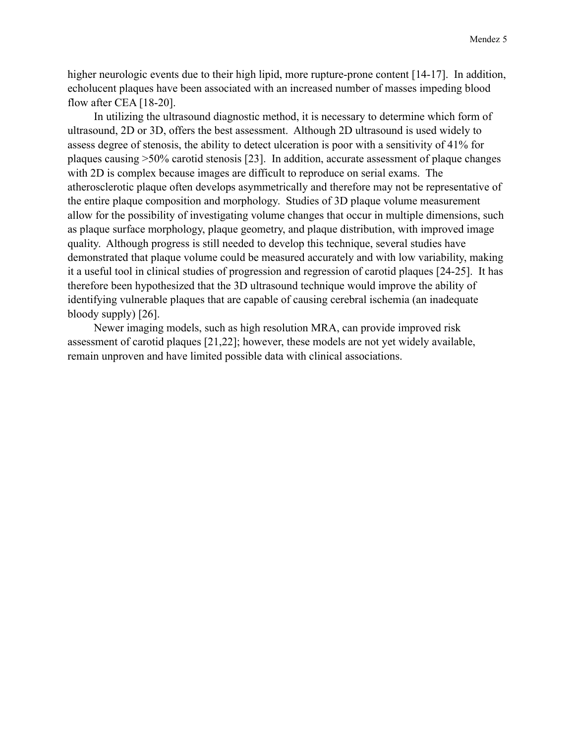higher neurologic events due to their high lipid, more rupture-prone content [14-17]. In addition, echolucent plaques have been associated with an increased number of masses impeding blood flow after CEA [18-20].

 In utilizing the ultrasound diagnostic method, it is necessary to determine which form of ultrasound, 2D or 3D, offers the best assessment. Although 2D ultrasound is used widely to assess degree of stenosis, the ability to detect ulceration is poor with a sensitivity of 41% for plaques causing >50% carotid stenosis [23]. In addition, accurate assessment of plaque changes with 2D is complex because images are difficult to reproduce on serial exams. The atherosclerotic plaque often develops asymmetrically and therefore may not be representative of the entire plaque composition and morphology. Studies of 3D plaque volume measurement allow for the possibility of investigating volume changes that occur in multiple dimensions, such as plaque surface morphology, plaque geometry, and plaque distribution, with improved image quality. Although progress is still needed to develop this technique, several studies have demonstrated that plaque volume could be measured accurately and with low variability, making it a useful tool in clinical studies of progression and regression of carotid plaques [24-25]. It has therefore been hypothesized that the 3D ultrasound technique would improve the ability of identifying vulnerable plaques that are capable of causing cerebral ischemia (an inadequate bloody supply) [26].

 Newer imaging models, such as high resolution MRA, can provide improved risk assessment of carotid plaques [21,22]; however, these models are not yet widely available, remain unproven and have limited possible data with clinical associations.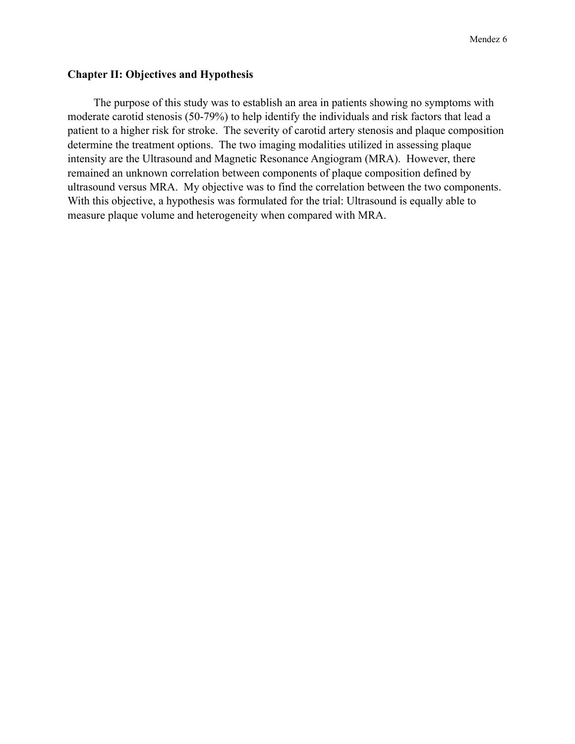### **Chapter II: Objectives and Hypothesis**

 The purpose of this study was to establish an area in patients showing no symptoms with moderate carotid stenosis (50-79%) to help identify the individuals and risk factors that lead a patient to a higher risk for stroke. The severity of carotid artery stenosis and plaque composition determine the treatment options. The two imaging modalities utilized in assessing plaque intensity are the Ultrasound and Magnetic Resonance Angiogram (MRA). However, there remained an unknown correlation between components of plaque composition defined by ultrasound versus MRA. My objective was to find the correlation between the two components. With this objective, a hypothesis was formulated for the trial: Ultrasound is equally able to measure plaque volume and heterogeneity when compared with MRA.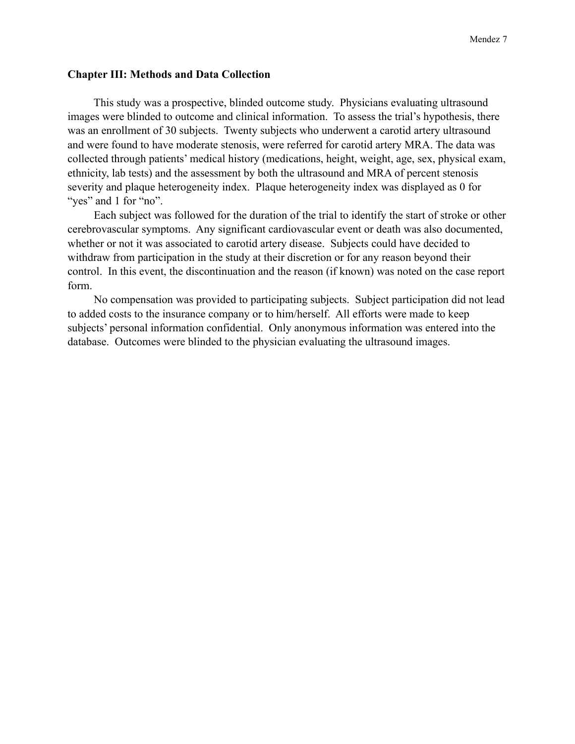#### **Chapter III: Methods and Data Collection**

 This study was a prospective, blinded outcome study. Physicians evaluating ultrasound images were blinded to outcome and clinical information. To assess the trial's hypothesis, there was an enrollment of 30 subjects. Twenty subjects who underwent a carotid artery ultrasound and were found to have moderate stenosis, were referred for carotid artery MRA. The data was collected through patients' medical history (medications, height, weight, age, sex, physical exam, ethnicity, lab tests) and the assessment by both the ultrasound and MRA of percent stenosis severity and plaque heterogeneity index. Plaque heterogeneity index was displayed as 0 for "yes" and 1 for "no".

 Each subject was followed for the duration of the trial to identify the start of stroke or other cerebrovascular symptoms. Any significant cardiovascular event or death was also documented, whether or not it was associated to carotid artery disease. Subjects could have decided to withdraw from participation in the study at their discretion or for any reason beyond their control. In this event, the discontinuation and the reason (if known) was noted on the case report form.

 No compensation was provided to participating subjects. Subject participation did not lead to added costs to the insurance company or to him/herself. All efforts were made to keep subjects' personal information confidential. Only anonymous information was entered into the database. Outcomes were blinded to the physician evaluating the ultrasound images.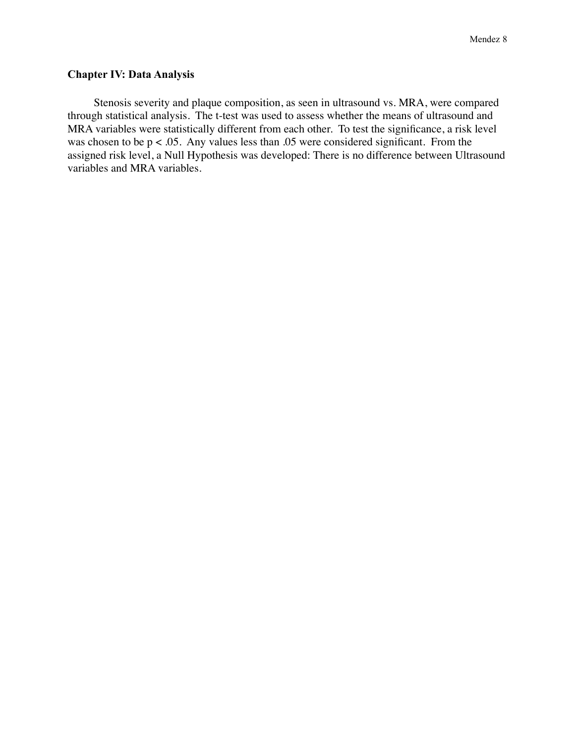## **Chapter IV: Data Analysis**

Stenosis severity and plaque composition, as seen in ultrasound vs. MRA, were compared through statistical analysis. The t-test was used to assess whether the means of ultrasound and MRA variables were statistically different from each other. To test the significance, a risk level was chosen to be  $p < .05$ . Any values less than  $.05$  were considered significant. From the assigned risk level, a Null Hypothesis was developed: There is no difference between Ultrasound variables and MRA variables.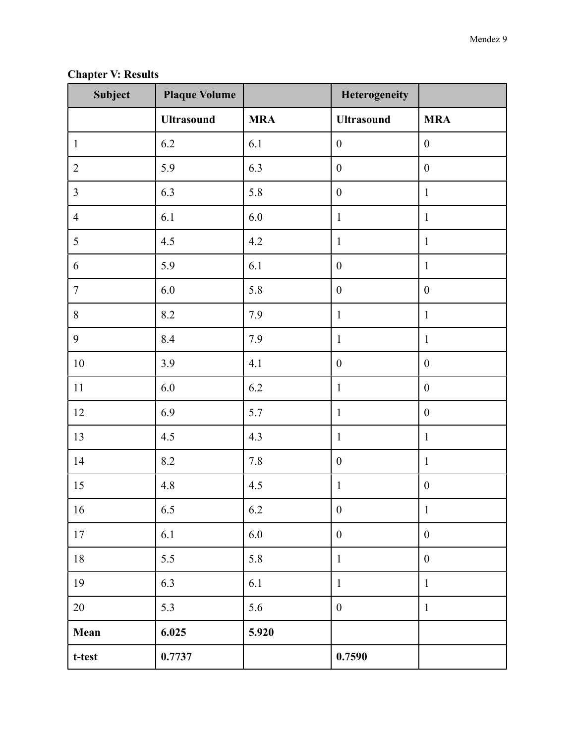**Chapter V: Results**

| Subject        | <b>Plaque Volume</b> |            | Heterogeneity     |                  |
|----------------|----------------------|------------|-------------------|------------------|
|                | <b>Ultrasound</b>    | <b>MRA</b> | <b>Ultrasound</b> | <b>MRA</b>       |
| $\mathbf{1}$   | 6.2                  | 6.1        | $\boldsymbol{0}$  | $\boldsymbol{0}$ |
| $\overline{2}$ | 5.9                  | 6.3        | $\boldsymbol{0}$  | $\boldsymbol{0}$ |
| $\overline{3}$ | 6.3                  | 5.8        | $\boldsymbol{0}$  | $\mathbf{1}$     |
| $\overline{4}$ | 6.1                  | 6.0        | $\mathbf{1}$      | $\mathbf{1}$     |
| 5              | 4.5                  | 4.2        | $\mathbf 1$       | $\mathbf{1}$     |
| 6              | 5.9                  | 6.1        | $\boldsymbol{0}$  | $\mathbf{1}$     |
| $\overline{7}$ | 6.0                  | 5.8        | $\boldsymbol{0}$  | $\boldsymbol{0}$ |
| $8\,$          | 8.2                  | 7.9        | $\mathbf{1}$      | $\mathbf{1}$     |
| 9              | 8.4                  | 7.9        | $\mathbf{1}$      | $\mathbf{1}$     |
| $10\,$         | 3.9                  | 4.1        | $\boldsymbol{0}$  | $\boldsymbol{0}$ |
| 11             | 6.0                  | 6.2        | $\mathbf{1}$      | $\boldsymbol{0}$ |
| 12             | 6.9                  | 5.7        | $\mathbf{1}$      | $\boldsymbol{0}$ |
| 13             | 4.5                  | 4.3        | $\mathbf{1}$      | $\mathbf{1}$     |
| 14             | 8.2                  | 7.8        | $\boldsymbol{0}$  | $\mathbf{1}$     |
| 15             | 4.8                  | 4.5        | $\mathbf{1}$      | $\boldsymbol{0}$ |
| 16             | 6.5                  | 6.2        | $\boldsymbol{0}$  | $\mathbf{1}$     |
| 17             | 6.1                  | 6.0        | $\boldsymbol{0}$  | $\boldsymbol{0}$ |
| $18\,$         | 5.5                  | 5.8        | $\mathbf 1$       | $\boldsymbol{0}$ |
| 19             | 6.3                  | 6.1        | $\mathbf{1}$      | $\mathbf{1}$     |
| $20\,$         | 5.3                  | 5.6        | $\boldsymbol{0}$  | $\mathbf{1}$     |
| Mean           | 6.025                | 5.920      |                   |                  |
| $t$ -test      | 0.7737               |            | 0.7590            |                  |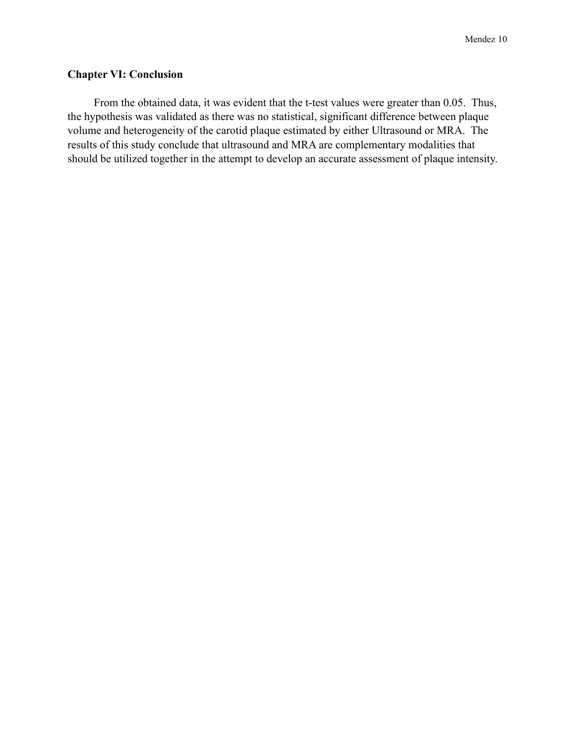## **Chapter VI: Conclusion**

 From the obtained data, it was evident that the t-test values were greater than 0.05. Thus, the hypothesis was validated as there was no statistical, significant difference between plaque volume and heterogeneity of the carotid plaque estimated by either Ultrasound or MRA. The results of this study conclude that ultrasound and MRA are complementary modalities that should be utilized together in the attempt to develop an accurate assessment of plaque intensity.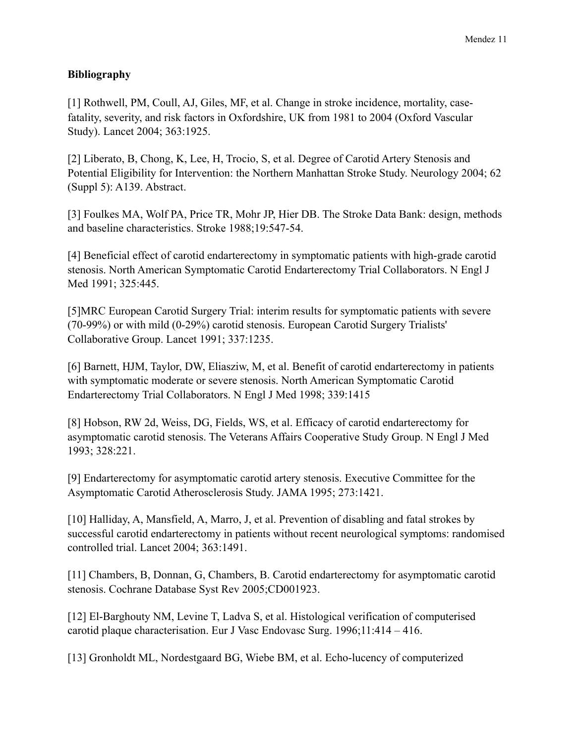## **Bibliography**

[1] Rothwell, PM, Coull, AJ, Giles, MF, et al. Change in stroke incidence, mortality, casefatality, severity, and risk factors in Oxfordshire, UK from 1981 to 2004 (Oxford Vascular Study). Lancet 2004; 363:1925.

[2] Liberato, B, Chong, K, Lee, H, Trocio, S, et al. Degree of Carotid Artery Stenosis and Potential Eligibility for Intervention: the Northern Manhattan Stroke Study. Neurology 2004; 62 (Suppl 5): A139. Abstract.

[3] Foulkes MA, Wolf PA, Price TR, Mohr JP, Hier DB. The Stroke Data Bank: design, methods and baseline characteristics. Stroke 1988;19:547-54.

[4] Beneficial effect of carotid endarterectomy in symptomatic patients with high-grade carotid stenosis. North American Symptomatic Carotid Endarterectomy Trial Collaborators. N Engl J Med 1991; 325:445.

[5]MRC European Carotid Surgery Trial: interim results for symptomatic patients with severe (70-99%) or with mild (0-29%) carotid stenosis. European Carotid Surgery Trialists' Collaborative Group. Lancet 1991; 337:1235.

[6] Barnett, HJM, Taylor, DW, Eliasziw, M, et al. Benefit of carotid endarterectomy in patients with symptomatic moderate or severe stenosis. North American Symptomatic Carotid Endarterectomy Trial Collaborators. N Engl J Med 1998; 339:1415

[8] Hobson, RW 2d, Weiss, DG, Fields, WS, et al. Efficacy of carotid endarterectomy for asymptomatic carotid stenosis. The Veterans Affairs Cooperative Study Group. N Engl J Med 1993; 328:221.

[9] Endarterectomy for asymptomatic carotid artery stenosis. Executive Committee for the Asymptomatic Carotid Atherosclerosis Study. JAMA 1995; 273:1421.

[10] Halliday, A, Mansfield, A, Marro, J, et al. Prevention of disabling and fatal strokes by successful carotid endarterectomy in patients without recent neurological symptoms: randomised controlled trial. Lancet 2004; 363:1491.

[11] Chambers, B, Donnan, G, Chambers, B. Carotid endarterectomy for asymptomatic carotid stenosis. Cochrane Database Syst Rev 2005;CD001923.

[12] El-Barghouty NM, Levine T, Ladva S, et al. Histological verification of computerised carotid plaque characterisation. Eur J Vasc Endovasc Surg. 1996;11:414 – 416.

[13] Gronholdt ML, Nordestgaard BG, Wiebe BM, et al. Echo-lucency of computerized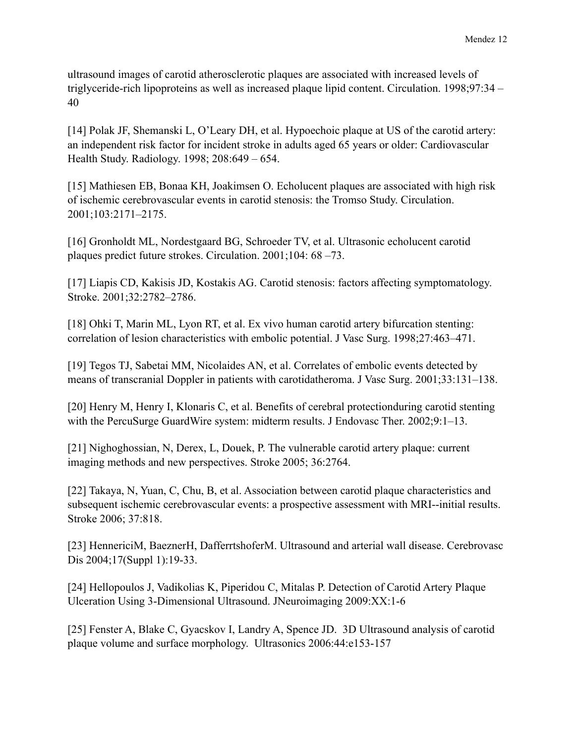ultrasound images of carotid atherosclerotic plaques are associated with increased levels of triglyceride-rich lipoproteins as well as increased plaque lipid content. Circulation. 1998;97:34 – 40

[14] Polak JF, Shemanski L, O'Leary DH, et al. Hypoechoic plaque at US of the carotid artery: an independent risk factor for incident stroke in adults aged 65 years or older: Cardiovascular Health Study. Radiology. 1998; 208:649 – 654.

[15] Mathiesen EB, Bonaa KH, Joakimsen O. Echolucent plaques are associated with high risk of ischemic cerebrovascular events in carotid stenosis: the Tromso Study. Circulation. 2001;103:2171–2175.

[16] Gronholdt ML, Nordestgaard BG, Schroeder TV, et al. Ultrasonic echolucent carotid plaques predict future strokes. Circulation. 2001;104: 68 –73.

[17] Liapis CD, Kakisis JD, Kostakis AG. Carotid stenosis: factors affecting symptomatology. Stroke. 2001;32:2782–2786.

[18] Ohki T, Marin ML, Lyon RT, et al. Ex vivo human carotid artery bifurcation stenting: correlation of lesion characteristics with embolic potential. J Vasc Surg. 1998;27:463–471.

[19] Tegos TJ, Sabetai MM, Nicolaides AN, et al. Correlates of embolic events detected by means of transcranial Doppler in patients with carotidatheroma. J Vasc Surg. 2001;33:131–138.

[20] Henry M, Henry I, Klonaris C, et al. Benefits of cerebral protectionduring carotid stenting with the PercuSurge GuardWire system: midterm results. J Endovasc Ther. 2002;9:1–13.

[21] Nighoghossian, N, Derex, L, Douek, P. The vulnerable carotid artery plaque: current imaging methods and new perspectives. Stroke 2005; 36:2764.

[22] Takaya, N, Yuan, C, Chu, B, et al. Association between carotid plaque characteristics and subsequent ischemic cerebrovascular events: a prospective assessment with MRI--initial results. Stroke 2006; 37:818.

[23] HennericiM, BaeznerH, DafferrtshoferM. Ultrasound and arterial wall disease. Cerebrovasc Dis 2004;17(Suppl 1):19-33.

[24] Hellopoulos J, Vadikolias K, Piperidou C, Mitalas P. Detection of Carotid Artery Plaque Ulceration Using 3-Dimensional Ultrasound. JNeuroimaging 2009:XX:1-6

[25] Fenster A, Blake C, Gyacskov I, Landry A, Spence JD. 3D Ultrasound analysis of carotid plaque volume and surface morphology. Ultrasonics 2006:44:e153-157